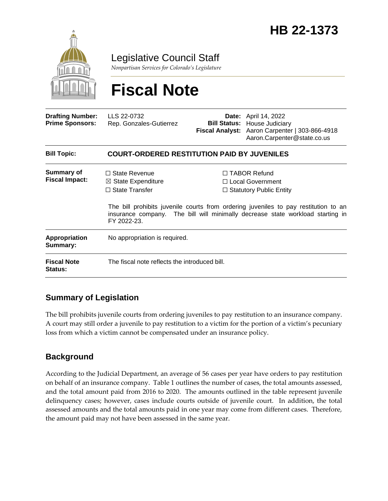

Legislative Council Staff

*Nonpartisan Services for Colorado's Legislature*

# **Fiscal Note**

| <b>Drafting Number:</b><br><b>Prime Sponsors:</b> | LLS 22-0732<br>Rep. Gonzales-Gutierrez                                         |  | <b>Date:</b> April 14, 2022<br><b>Bill Status: House Judiciary</b><br>Fiscal Analyst: Aaron Carpenter   303-866-4918<br>Aaron.Carpenter@state.co.us                                                                                                  |  |
|---------------------------------------------------|--------------------------------------------------------------------------------|--|------------------------------------------------------------------------------------------------------------------------------------------------------------------------------------------------------------------------------------------------------|--|
| <b>Bill Topic:</b>                                | <b>COURT-ORDERED RESTITUTION PAID BY JUVENILES</b>                             |  |                                                                                                                                                                                                                                                      |  |
| Summary of<br><b>Fiscal Impact:</b>               | $\Box$ State Revenue<br>$\boxtimes$ State Expenditure<br>$\Box$ State Transfer |  | $\Box$ TABOR Refund<br>□ Local Government<br>$\Box$ Statutory Public Entity<br>The bill prohibits juvenile courts from ordering juveniles to pay restitution to an<br>insurance company. The bill will minimally decrease state workload starting in |  |
| <b>Appropriation</b><br>Summary:                  | FY 2022-23.<br>No appropriation is required.                                   |  |                                                                                                                                                                                                                                                      |  |
| <b>Fiscal Note</b><br><b>Status:</b>              | The fiscal note reflects the introduced bill.                                  |  |                                                                                                                                                                                                                                                      |  |

# **Summary of Legislation**

The bill prohibits juvenile courts from ordering juveniles to pay restitution to an insurance company. A court may still order a juvenile to pay restitution to a victim for the portion of a victim's pecuniary loss from which a victim cannot be compensated under an insurance policy.

# **Background**

According to the Judicial Department, an average of 56 cases per year have orders to pay restitution on behalf of an insurance company. Table 1 outlines the number of cases, the total amounts assessed, and the total amount paid from 2016 to 2020. The amounts outlined in the table represent juvenile delinquency cases; however, cases include courts outside of juvenile court. In addition, the total assessed amounts and the total amounts paid in one year may come from different cases. Therefore, the amount paid may not have been assessed in the same year.